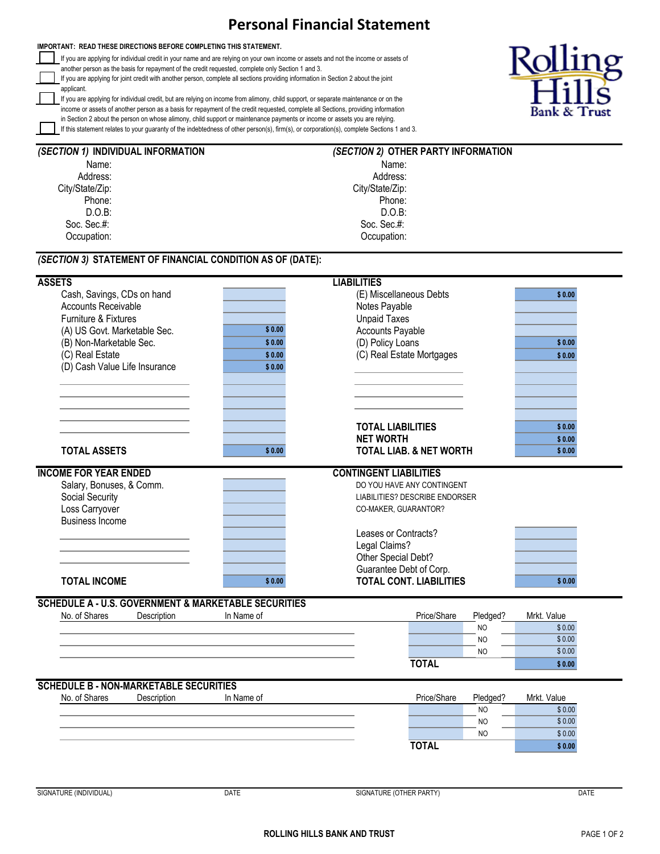## **Personal Financial Statement**